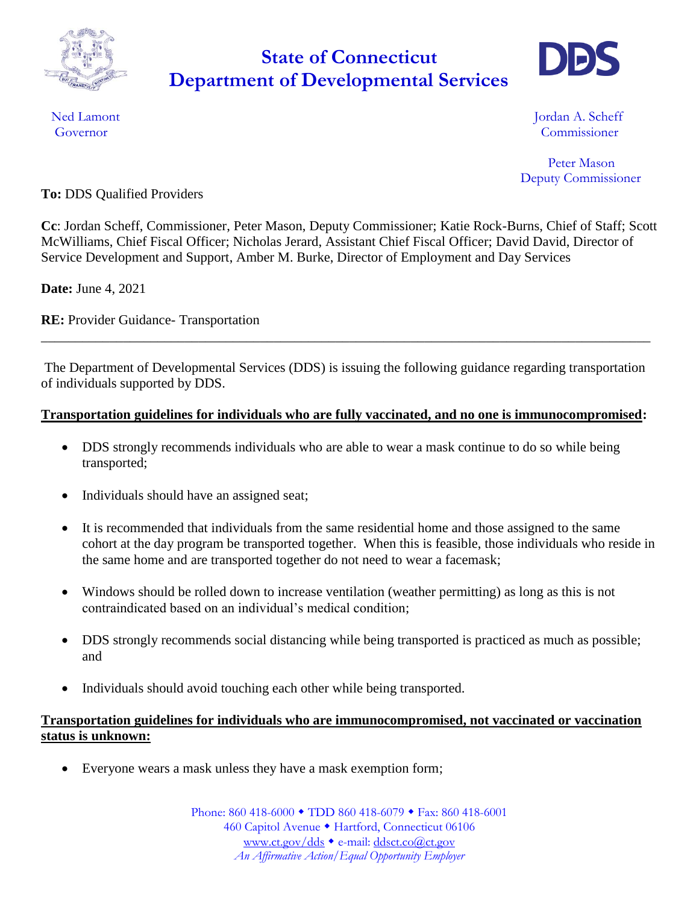

## Department of Developmental Services **State of Connecticut**



Ned Lamont **International Contract Contract Contract Contract Contract Contract Contract Contract Contract Contract Contract Contract Contract Contract Contract Contract Contract Contract Contract Contract Contract Contrac** Governor Commissioner

> Peter Mason Deputy Commissioner

**To:** DDS Qualified Providers

**Cc**: Jordan Scheff, Commissioner, Peter Mason, Deputy Commissioner; Katie Rock-Burns, Chief of Staff; Scott McWilliams, Chief Fiscal Officer; Nicholas Jerard, Assistant Chief Fiscal Officer; David David, Director of Service Development and Support, Amber M. Burke, Director of Employment and Day Services

**Date:** June 4, 2021

**RE:** Provider Guidance- Transportation

The Department of Developmental Services (DDS) is issuing the following guidance regarding transportation of individuals supported by DDS.

\_\_\_\_\_\_\_\_\_\_\_\_\_\_\_\_\_\_\_\_\_\_\_\_\_\_\_\_\_\_\_\_\_\_\_\_\_\_\_\_\_\_\_\_\_\_\_\_\_\_\_\_\_\_\_\_\_\_\_\_\_\_\_\_\_\_\_\_\_\_\_\_\_\_\_\_\_\_\_\_\_\_\_\_\_\_\_\_\_

## **Transportation guidelines for individuals who are fully vaccinated, and no one is immunocompromised:**

- DDS strongly recommends individuals who are able to wear a mask continue to do so while being transported;
- Individuals should have an assigned seat;
- It is recommended that individuals from the same residential home and those assigned to the same cohort at the day program be transported together. When this is feasible, those individuals who reside in the same home and are transported together do not need to wear a facemask;
- Windows should be rolled down to increase ventilation (weather permitting) as long as this is not contraindicated based on an individual's medical condition;
- DDS strongly recommends social distancing while being transported is practiced as much as possible; and
- Individuals should avoid touching each other while being transported.

## **Transportation guidelines for individuals who are immunocompromised, not vaccinated or vaccination status is unknown:**

Everyone wears a mask unless they have a mask exemption form;

Phone: 860 418-6000 • TDD 860 418-6079 • Fax: 860 418-6001 460 Capitol Avenue · Hartford, Connecticut 06106 [www.ct.gov/dds](http://www.ct.gov/dds) • e-mail: [ddsct.co@ct.gov](mailto:ddsct.co@ct.gov) *An Affirmative Action/Equal Opportunity Employer*